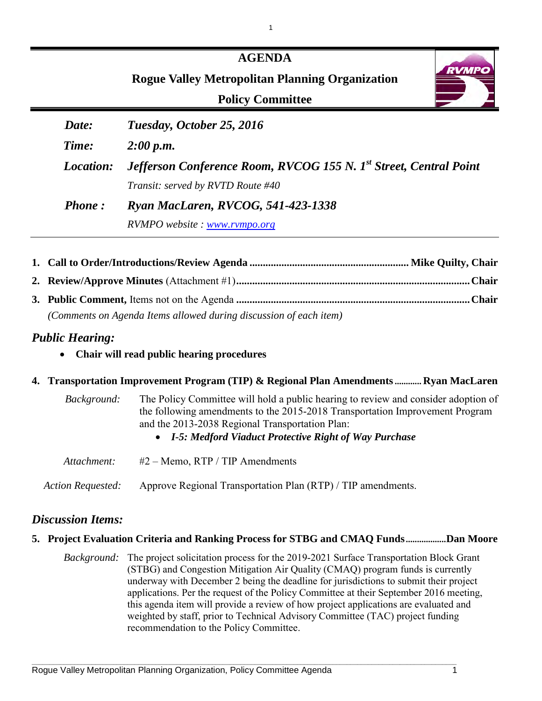|                  | <b>AGENDA</b>                                                                 |
|------------------|-------------------------------------------------------------------------------|
|                  | <b>RVM</b><br><b>Rogue Valley Metropolitan Planning Organization</b>          |
|                  | <b>Policy Committee</b>                                                       |
| Date:            | Tuesday, October 25, 2016                                                     |
| Time:            | 2:00 p.m.                                                                     |
| <i>Location:</i> | Jefferson Conference Room, RVCOG 155 N. 1 <sup>st</sup> Street, Central Point |
|                  | Transit: served by RVTD Route #40                                             |
| <b>Phone:</b>    | Ryan MacLaren, RVCOG, 541-423-1338                                            |
|                  | RVMPO website: www.rvmpo.org                                                  |

1

| (Comments on Agenda Items allowed during discussion of each item) |  |
|-------------------------------------------------------------------|--|

### *Public Hearing:*

• **Chair will read public hearing procedures**

### **4. Transportation Improvement Program (TIP) & Regional Plan Amendments............ Ryan MacLaren**

| Background:       | The Policy Committee will hold a public hearing to review and consider adoption of<br>the following amendments to the 2015-2018 Transportation Improvement Program<br>and the 2013-2038 Regional Transportation Plan:<br>• I-5: Medford Viaduct Protective Right of Way Purchase |
|-------------------|----------------------------------------------------------------------------------------------------------------------------------------------------------------------------------------------------------------------------------------------------------------------------------|
| Attachment:       | $#2 -$ Memo, RTP / TIP Amendments                                                                                                                                                                                                                                                |
| Action Requested: | Approve Regional Transportation Plan (RTP) / TIP amendments.                                                                                                                                                                                                                     |

### *Discussion Items:*

### **5. Project Evaluation Criteria and Ranking Process for STBG and CMAQ Funds..................Dan Moore**

*Background:* The project solicitation process for the 2019-2021 Surface Transportation Block Grant (STBG) and Congestion Mitigation Air Quality (CMAQ) program funds is currently underway with December 2 being the deadline for jurisdictions to submit their project applications. Per the request of the Policy Committee at their September 2016 meeting, this agenda item will provide a review of how project applications are evaluated and weighted by staff, prior to Technical Advisory Committee (TAC) project funding recommendation to the Policy Committee.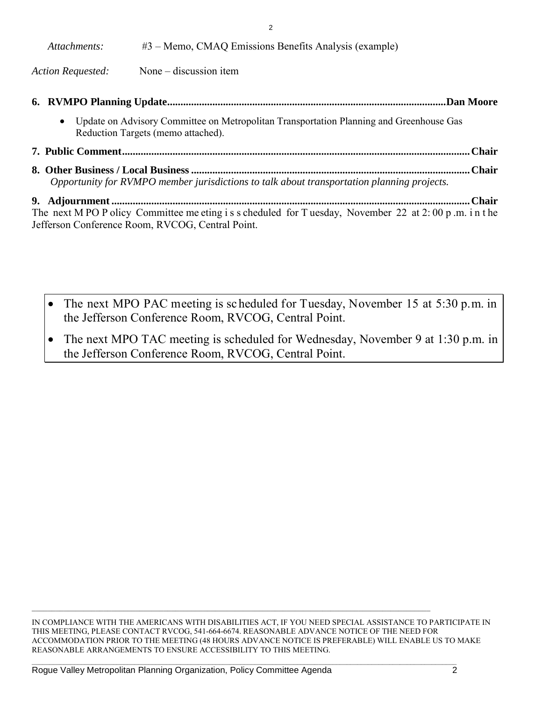| Attachments:                                                                               | $#3$ – Memo, CMAQ Emissions Benefits Analysis (example)                                                                       |  |  |  |  |  |  |  |  |  |
|--------------------------------------------------------------------------------------------|-------------------------------------------------------------------------------------------------------------------------------|--|--|--|--|--|--|--|--|--|
| <b>Action Requested:</b>                                                                   | None $-$ discussion item                                                                                                      |  |  |  |  |  |  |  |  |  |
| <b>.Dan Moore</b>                                                                          |                                                                                                                               |  |  |  |  |  |  |  |  |  |
| $\bullet$                                                                                  | Update on Advisory Committee on Metropolitan Transportation Planning and Greenhouse Gas<br>Reduction Targets (memo attached). |  |  |  |  |  |  |  |  |  |
|                                                                                            |                                                                                                                               |  |  |  |  |  |  |  |  |  |
| Opportunity for RVMPO member jurisdictions to talk about transportation planning projects. |                                                                                                                               |  |  |  |  |  |  |  |  |  |

2

**9. Adjournment ....................................................................................................................................... Chair** The next M PO P olicy Committee me eting is s cheduled for T uesday, November 22 at 2:00 p .m. in the Jefferson Conference Room, RVCOG, Central Point.

- The next MPO PAC meeting is scheduled for Tuesday, November 15 at 5:30 p.m. in the Jefferson Conference Room, RVCOG, Central Point.
- The next MPO TAC meeting is scheduled for Wednesday, November 9 at 1:30 p.m. in the Jefferson Conference Room, RVCOG, Central Point.

IN COMPLIANCE WITH THE AMERICANS WITH DISABILITIES ACT, IF YOU NEED SPECIAL ASSISTANCE TO PARTICIPATE IN THIS MEETING, PLEASE CONTACT RVCOG, 541-664-6674. REASONABLE ADVANCE NOTICE OF THE NEED FOR ACCOMMODATION PRIOR TO THE MEETING (48 HOURS ADVANCE NOTICE IS PREFERABLE) WILL ENABLE US TO MAKE REASONABLE ARRANGEMENTS TO ENSURE ACCESSIBILITY TO THIS MEETING.

 $\mathcal{L}_\mathcal{L} = \{ \mathcal{L}_\mathcal{L} = \{ \mathcal{L}_\mathcal{L} = \{ \mathcal{L}_\mathcal{L} = \{ \mathcal{L}_\mathcal{L} = \{ \mathcal{L}_\mathcal{L} = \{ \mathcal{L}_\mathcal{L} = \{ \mathcal{L}_\mathcal{L} = \{ \mathcal{L}_\mathcal{L} = \{ \mathcal{L}_\mathcal{L} = \{ \mathcal{L}_\mathcal{L} = \{ \mathcal{L}_\mathcal{L} = \{ \mathcal{L}_\mathcal{L} = \{ \mathcal{L}_\mathcal{L} = \{ \mathcal{L}_\mathcal{$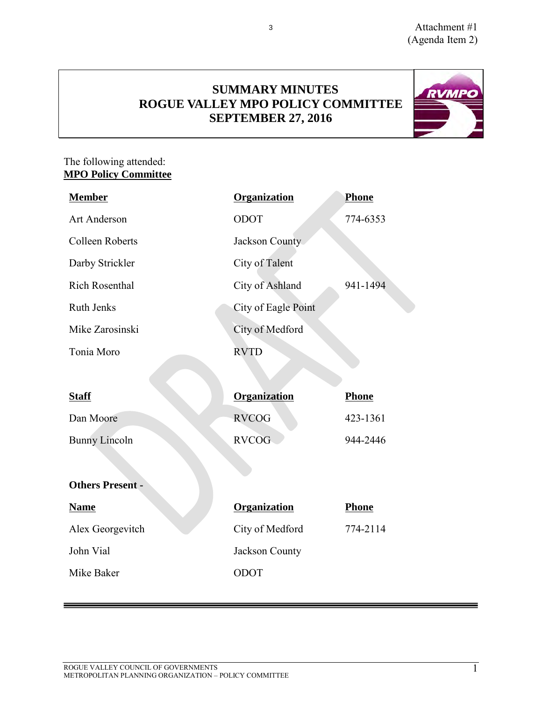**RVMPO** 

### **SUMMARY MINUTES ROGUE VALLEY MPO POLICY COMMITTEE SEPTEMBER 27, 2016**

3

### The following attended: **MPO Policy Committee**

| <b>Member</b>           | Organization        | <b>Phone</b> |  |  |  |  |  |  |  |  |  |
|-------------------------|---------------------|--------------|--|--|--|--|--|--|--|--|--|
| <b>Art Anderson</b>     | ODOT                | 774-6353     |  |  |  |  |  |  |  |  |  |
| <b>Colleen Roberts</b>  | Jackson County      |              |  |  |  |  |  |  |  |  |  |
| Darby Strickler         | City of Talent      |              |  |  |  |  |  |  |  |  |  |
| <b>Rich Rosenthal</b>   | City of Ashland     | 941-1494     |  |  |  |  |  |  |  |  |  |
| <b>Ruth Jenks</b>       | City of Eagle Point |              |  |  |  |  |  |  |  |  |  |
| Mike Zarosinski         | City of Medford     |              |  |  |  |  |  |  |  |  |  |
| Tonia Moro              | <b>RVTD</b>         |              |  |  |  |  |  |  |  |  |  |
|                         |                     |              |  |  |  |  |  |  |  |  |  |
| <b>Staff</b>            | Organization        | Phone        |  |  |  |  |  |  |  |  |  |
|                         |                     |              |  |  |  |  |  |  |  |  |  |
| Dan Moore               | <b>RVCOG</b>        | 423-1361     |  |  |  |  |  |  |  |  |  |
| <b>Bunny Lincoln</b>    | <b>RVCOG</b>        | 944-2446     |  |  |  |  |  |  |  |  |  |
|                         |                     |              |  |  |  |  |  |  |  |  |  |
| <b>Others Present -</b> |                     |              |  |  |  |  |  |  |  |  |  |
| <b>Name</b>             | <b>Organization</b> | Phone        |  |  |  |  |  |  |  |  |  |
| Alex Georgevitch        | City of Medford     | 774-2114     |  |  |  |  |  |  |  |  |  |
| John Vial               | Jackson County      |              |  |  |  |  |  |  |  |  |  |
| Mike Baker              | ODOT                |              |  |  |  |  |  |  |  |  |  |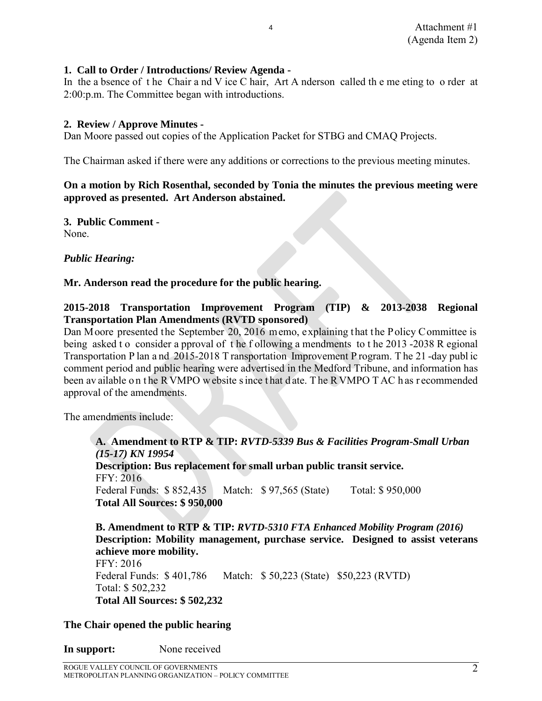### **1. Call to Order / Introductions/ Review Agenda -**

In the a bsence of the Chair a nd V ice C hair, Art A nderson called the me eting to o rder at 2:00:p.m. The Committee began with introductions.

4

### **2. Review / Approve Minutes -**

Dan Moore passed out copies of the Application Packet for STBG and CMAQ Projects.

The Chairman asked if there were any additions or corrections to the previous meeting minutes.

### **On a motion by Rich Rosenthal, seconded by Tonia the minutes the previous meeting were approved as presented. Art Anderson abstained.**

**3. Public Comment -**  None.

*Public Hearing:*

### **Mr. Anderson read the procedure for the public hearing.**

### **2015-2018 Transportation Improvement Program (TIP) & 2013-2038 Regional Transportation Plan Amendments (RVTD sponsored)**

Dan Moore presented the September 20, 2016 memo, explaining that the Policy Committee is being asked t o consider a pproval of the f ollowing a mendments to the 2013 -2038 R egional Transportation P lan a nd 2015-2018 T ransportation Improvement P rogram. T he 21 -day publ ic comment period and public hearing were advertised in the Medford Tribune, and information has been av ailable on the R VMPO w ebsite s ince that d ate. The R VMPO T AC h as r ecommended approval of the amendments.

The amendments include:

**A. Amendment to RTP & TIP:** *RVTD-5339 Bus & Facilities Program-Small Urban (15-17) KN 19954* **Description: Bus replacement for small urban public transit service.** FFY: 2016 Federal Funds: \$ 852,435 Match: \$ 97,565 (State) Total: \$ 950,000 **Total All Sources: \$ 950,000** 

**B. Amendment to RTP & TIP:** *RVTD-5310 FTA Enhanced Mobility Program (2016)* **Description: Mobility management, purchase service. Designed to assist veterans achieve more mobility.** FFY: 2016 Federal Funds: \$ 401,786 Match: \$ 50,223 (State) \$50,223 (RVTD) Total: \$ 502,232 **Total All Sources: \$ 502,232** 

### **The Chair opened the public hearing**

**In support:** None received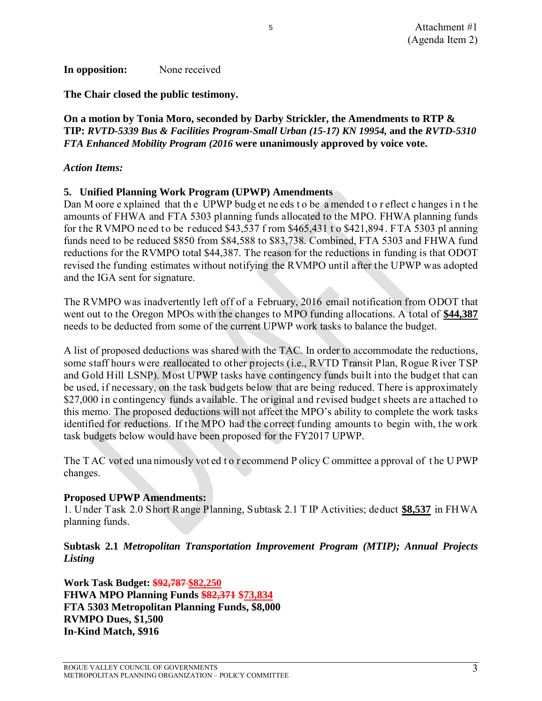### **In opposition:** None received

**The Chair closed the public testimony.** 

### **On a motion by Tonia Moro, seconded by Darby Strickler, the Amendments to RTP & TIP:** *RVTD-5339 Bus & Facilities Program-Small Urban (15-17) KN 19954,* **and the** *RVTD-5310 FTA Enhanced Mobility Program (2016* **were unanimously approved by voice vote.**

5

### *Action Items:*

### **5. Unified Planning Work Program (UPWP) Amendments**

Dan M oore e xplained that th e UPWP budg et ne eds t o be a mended t o r eflect c hanges i n t he amounts of FHWA and FTA 5303 planning funds allocated to the MPO. FHWA planning funds for the RVMPO need to be reduced \$43,537 f rom \$465,431 t o \$421,894. FTA 5303 pl anning funds need to be reduced \$850 from \$84,588 to \$83,738. Combined, FTA 5303 and FHWA fund reductions for the RVMPO total \$44,387. The reason for the reductions in funding is that ODOT revised the funding estimates without notifying the RVMPO until after the UPWP was adopted and the IGA sent for signature.

The RVMPO was inadvertently left off of a February, 2016 email notification from ODOT that went out to the Oregon MPOs with the changes to MPO funding allocations. A total of **\$44,387**  needs to be deducted from some of the current UPWP work tasks to balance the budget.

A list of proposed deductions was shared with the TAC. In order to accommodate the reductions, some staff hours were reallocated to other projects (i.e., RVTD Transit Plan, Rogue River TSP and Gold Hill LSNP). Most UPWP tasks have contingency funds built into the budget that can be used, if necessary, on the task budgets below that are being reduced. There is approximately \$27,000 in contingency funds available. The original and revised budget sheets are attached to this memo. The proposed deductions will not affect the MPO's ability to complete the work tasks identified for reductions. If the MPO had the correct funding amounts to begin with, the work task budgets below would have been proposed for the FY2017 UPWP.

The T AC vot ed una nimously vot ed t o r ecommend P olicy C ommittee a pproval of the U PWP changes.

### **Proposed UPWP Amendments:**

1. Under Task 2.0 Short Range Planning, Subtask 2.1 T IP Activities; deduct **\$8,537** in FHWA planning funds.

### **Subtask 2.1** *Metropolitan Transportation Improvement Program (MTIP); Annual Projects Listing*

**Work Task Budget: \$92,787 \$82,250 FHWA MPO Planning Funds \$82,371 \$73,834 FTA 5303 Metropolitan Planning Funds, \$8,000 RVMPO Dues, \$1,500 In-Kind Match, \$916**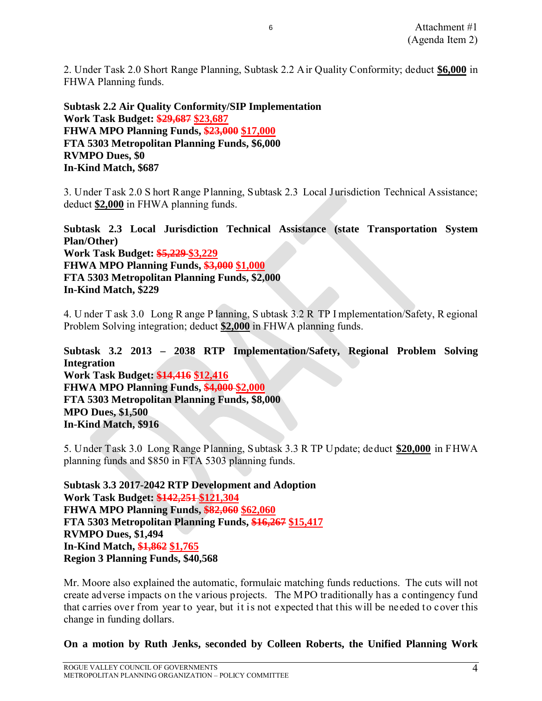2. Under Task 2.0 Short Range Planning, Subtask 2.2 Air Quality Conformity; deduct **\$6,000** in FHWA Planning funds.

6

**Subtask 2.2 Air Quality Conformity/SIP Implementation Work Task Budget: \$29,687 \$23,687 FHWA MPO Planning Funds, \$23,000 \$17,000 FTA 5303 Metropolitan Planning Funds, \$6,000 RVMPO Dues, \$0 In-Kind Match, \$687** 

3. Under Task 2.0 S hort Range Planning, Subtask 2.3 Local Jurisdiction Technical Assistance; deduct **\$2,000** in FHWA planning funds.

**Subtask 2.3 Local Jurisdiction Technical Assistance (state Transportation System Plan/Other) Work Task Budget: \$5,229 \$3,229 FHWA MPO Planning Funds, \$3,000 \$1,000 FTA 5303 Metropolitan Planning Funds, \$2,000 In-Kind Match, \$229** 

4. U nder T ask 3.0 Long R ange P lanning, S ubtask 3.2 R TP I mplementation/Safety, R egional Problem Solving integration; deduct **\$2,000** in FHWA planning funds.

**Subtask 3.2 2013 – 2038 RTP Implementation/Safety, Regional Problem Solving Integration Work Task Budget: \$14,416 \$12,416 FHWA MPO Planning Funds, \$4,000 \$2,000 FTA 5303 Metropolitan Planning Funds, \$8,000 MPO Dues, \$1,500 In-Kind Match, \$916** 

5. Under Task 3.0 Long Range Planning, Subtask 3.3 R TP Update; deduct **\$20,000** in FHWA planning funds and \$850 in FTA 5303 planning funds.

**Subtask 3.3 2017-2042 RTP Development and Adoption Work Task Budget: \$142,251 \$121,304 FHWA MPO Planning Funds, \$82,060 \$62,060 FTA 5303 Metropolitan Planning Funds, \$16,267 \$15,417 RVMPO Dues, \$1,494 In-Kind Match, \$1,862 \$1,765 Region 3 Planning Funds, \$40,568** 

Mr. Moore also explained the automatic, formulaic matching funds reductions. The cuts will not create adverse impacts on the various projects. The MPO traditionally has a contingency fund that carries over from year to year, but it is not expected that this will be needed to cover this change in funding dollars.

**On a motion by Ruth Jenks, seconded by Colleen Roberts, the Unified Planning Work**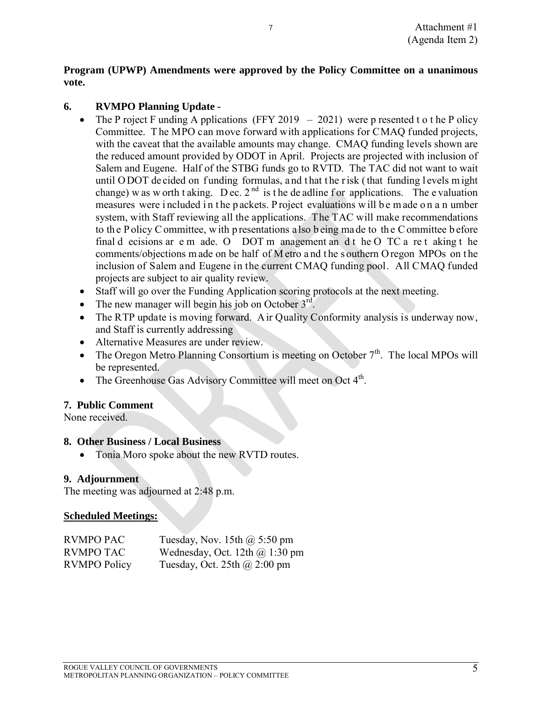### **Program (UPWP) Amendments were approved by the Policy Committee on a unanimous vote.**

7

### **6. RVMPO Planning Update -**

- The P roject F unding A pplications (FFY 2019 2021) were p resented t o t he P olicy Committee. T he MPO can move forward with applications for CMAQ funded projects, with the caveat that the available amounts may change. CMAQ funding levels shown are the reduced amount provided by ODOT in April. Projects are projected with inclusion of Salem and Eugene. Half of the STBG funds go to RVTD. The TAC did not want to wait until ODOT de cided on funding formulas, and that the risk (that funding levels might change) w as w orth t aking. D ec.  $2^{nd}$  is the de adline f or applications. The e valuation measures were included in the p ackets. P roject evaluations will be m ade on a n umber system, with Staff reviewing all the applications. The TAC will make recommendations to th e P olicy C ommittee, w ith p resentations a lso b eing ma de to th e C ommittee b efore final d ecisions ar e m ade. O DOT m anagement an d t he O TC a re t aking t he comments/objections m ade on be half of M etro a nd t he s outhern O regon MPOs on t he inclusion of Salem and Eugene in the current CMAQ funding pool. All CMAQ funded projects are subject to air quality review.
- Staff will go over the Funding Application scoring protocols at the next meeting.
- The new manager will begin his job on October  $3<sup>rd</sup>$ .
- The RTP update is moving forward. Air Quality Conformity analysis is underway now, and Staff is currently addressing
- Alternative Measures are under review.
- The Oregon Metro Planning Consortium is meeting on October  $7<sup>th</sup>$ . The local MPOs will be represented.
- The Greenhouse Gas Advisory Committee will meet on Oct 4<sup>th</sup>.

### **7. Public Comment**

None received.

### **8. Other Business / Local Business**

• Tonia Moro spoke about the new RVTD routes.

### **9. Adjournment**

The meeting was adjourned at 2:48 p.m.

### **Scheduled Meetings:**

| <b>RVMPO PAC</b>    | Tuesday, Nov. 15th $\omega$ 5:50 pm   |
|---------------------|---------------------------------------|
| <b>RVMPO TAC</b>    | Wednesday, Oct. 12th $\omega$ 1:30 pm |
| <b>RVMPO Policy</b> | Tuesday, Oct. 25th $\omega$ 2:00 pm   |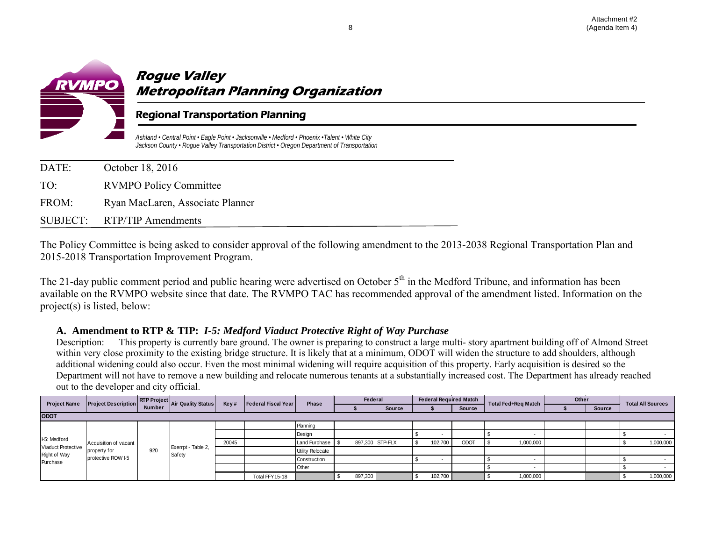

## **Rogue Valley Metropolitan Planning Organization**

### Regional Transportation Planning

*Ashland • Central Point • Eagle Point • Jacksonville • Medford • Phoenix •Talent • White City Jackson County • Rogue Valley Transportation District • Oregon Department of Transportation*

| DATE: | October 18, 2016                 |
|-------|----------------------------------|
| TO:   | <b>RVMPO Policy Committee</b>    |
| FROM: | Ryan MacLaren, Associate Planner |
|       | SUBJECT: RTP/TIP Amendments      |

The Policy Committee is being asked to consider approval of the following amendment to the 2013-2038 Regional Transportation Plan and 2015-2018 Transportation Improvement Program.

The 21-day public comment period and public hearing were advertised on October  $5<sup>th</sup>$  in the Medford Tribune, and information has been available on the RVMPO website since that date. The RVMPO TAC has recommended approval of the amendment listed. Information on the project(s) is listed, below:

### **A. Amendment to RTP & TIP:** *I-5: Medford Viaduct Protective Right of Way Purchase*

Description: This property is currently bare ground. The owner is preparing to construct a large multi- story apartment building off of Almond Street within very close proximity to the existing bridge structure. It is likely that at a minimum, ODOT will widen the structure to add shoulders, although additional widening could also occur. Even the most minimal widening will require acquisition of this property. Early acquisition is desired so the Department will not have to remove a new building and relocate numerous tenants at a substantially increased cost. The Department has already reached out to the developer and city official.

| <b>Project Name</b>                | <b>Project Description</b> |                                                                                                |                             |       |                 |                         | Federal |                 |               |         | <b>Federal Required Match</b> | Total Fed+Reg Match | Other |  | <b>Total All Sources</b> |           |
|------------------------------------|----------------------------|------------------------------------------------------------------------------------------------|-----------------------------|-------|-----------------|-------------------------|---------|-----------------|---------------|---------|-------------------------------|---------------------|-------|--|--------------------------|-----------|
|                                    |                            | <b>RTP Project</b> Air Quality Status<br>Key#<br>Federal Fiscal Year<br>Phase<br><b>Source</b> |                             |       |                 |                         |         |                 | <b>Source</b> |         |                               | Source              |       |  |                          |           |
| <b>ODOT</b>                        |                            |                                                                                                |                             |       |                 |                         |         |                 |               |         |                               |                     |       |  |                          |           |
|                                    |                            |                                                                                                |                             |       |                 | Planning                |         |                 |               |         |                               |                     |       |  |                          |           |
|                                    | Acquisition of vacant      |                                                                                                |                             |       |                 | Design                  |         |                 |               |         |                               |                     |       |  |                          |           |
| I-5: Medford<br>Viaduct Protective |                            |                                                                                                |                             | 20045 |                 | Land Purchase           |         | 897,300 STP-FLX |               | 102,700 | <b>ODOT</b>                   | 1,000,000           |       |  |                          | 1,000,000 |
| Right of Way                       | property for               | 920                                                                                            | Exempt - Table 2,<br>Safety |       |                 | <b>Utility Relocate</b> |         |                 |               |         |                               |                     |       |  |                          |           |
| Purchase                           | protective ROW I-5         |                                                                                                |                             |       |                 | Construction            |         |                 |               |         |                               |                     |       |  |                          |           |
|                                    |                            |                                                                                                |                             |       |                 | Other                   |         |                 |               |         |                               |                     |       |  |                          |           |
|                                    |                            |                                                                                                |                             |       | Total FFY 15-18 |                         | 897,300 |                 |               | 102,700 |                               | 1,000,000           |       |  |                          | 1,000,000 |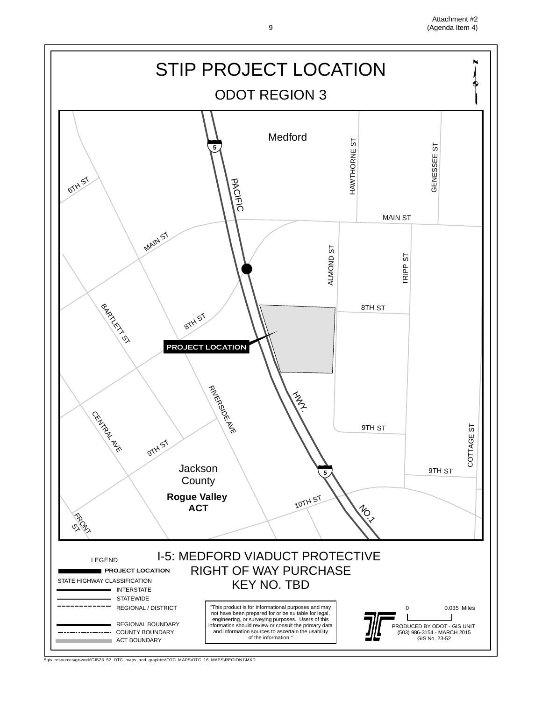Attachment #2 9 (Agenda Item 4)



\\gis\_resources\giswork\GIS23\_52\_OTC\_maps\_and\_graphics\OTC\_MAPS\OTC\_16\_MAPS\REGION1\MXD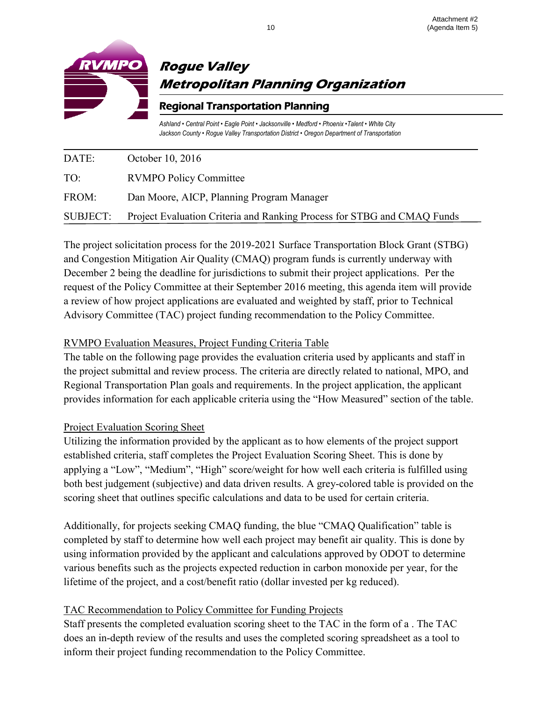

## **Rogue Valley Metropolitan Planning Organization**

### Regional Transportation Planning

*Ashland • Central Point • Eagle Point • Jacksonville • Medford • Phoenix •Talent • White City Jackson County • Rogue Valley Transportation District • Oregon Department of Transportation*

| <b>SUBJECT:</b> | Project Evaluation Criteria and Ranking Process for STBG and CMAQ Funds |
|-----------------|-------------------------------------------------------------------------|
| FROM:           | Dan Moore, AICP, Planning Program Manager                               |
| TO:             | <b>RVMPO Policy Committee</b>                                           |
| DATE:           | October 10, 2016                                                        |

The project solicitation process for the 2019-2021 Surface Transportation Block Grant (STBG) and Congestion Mitigation Air Quality (CMAQ) program funds is currently underway with December 2 being the deadline for jurisdictions to submit their project applications. Per the request of the Policy Committee at their September 2016 meeting, this agenda item will provide a review of how project applications are evaluated and weighted by staff, prior to Technical Advisory Committee (TAC) project funding recommendation to the Policy Committee.

### RVMPO Evaluation Measures, Project Funding Criteria Table

The table on the following page provides the evaluation criteria used by applicants and staff in the project submittal and review process. The criteria are directly related to national, MPO, and Regional Transportation Plan goals and requirements. In the project application, the applicant provides information for each applicable criteria using the "How Measured" section of the table.

### Project Evaluation Scoring Sheet

Utilizing the information provided by the applicant as to how elements of the project support established criteria, staff completes the Project Evaluation Scoring Sheet. This is done by applying a "Low", "Medium", "High" score/weight for how well each criteria is fulfilled using both best judgement (subjective) and data driven results. A grey-colored table is provided on the scoring sheet that outlines specific calculations and data to be used for certain criteria.

Additionally, for projects seeking CMAQ funding, the blue "CMAQ Qualification" table is completed by staff to determine how well each project may benefit air quality. This is done by using information provided by the applicant and calculations approved by ODOT to determine various benefits such as the projects expected reduction in carbon monoxide per year, for the lifetime of the project, and a cost/benefit ratio (dollar invested per kg reduced).

### TAC Recommendation to Policy Committee for Funding Projects

Staff presents the completed evaluation scoring sheet to the TAC in the form of a . The TAC does an in-depth review of the results and uses the completed scoring spreadsheet as a tool to inform their project funding recommendation to the Policy Committee.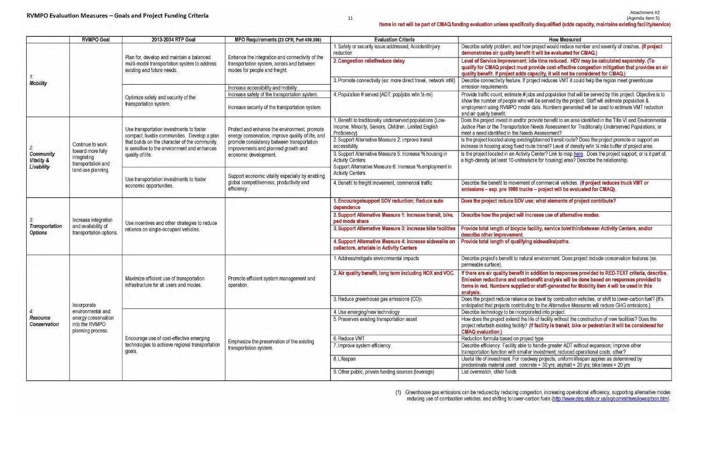|                                       | <b>RVMPO Goal</b>                                                            | 2013-2034 RTP Goal                                                                             | MPO Requirements (23 CFR, Part 450.306)                                                                     | <b>Evaluation Criteria</b>                                                                                                              |                                                                                                                  |  |  |  |
|---------------------------------------|------------------------------------------------------------------------------|------------------------------------------------------------------------------------------------|-------------------------------------------------------------------------------------------------------------|-----------------------------------------------------------------------------------------------------------------------------------------|------------------------------------------------------------------------------------------------------------------|--|--|--|
|                                       |                                                                              | Plan for, develop and maintain a balanced                                                      | Enhance the integration and connectivity of the                                                             | 1. Safety or security issue addressed; Accident/injury<br>reduction                                                                     | Describe safety problem, an<br>demonstrates air quality b                                                        |  |  |  |
|                                       |                                                                              | multi-modal transportation system to address<br>existing and future needs.                     | transportation system, across and between<br>modes for people and freight.                                  | 2. Congestion relief/reduce delay                                                                                                       | <b>Level of Service improven</b><br>qualify for CMAQ project r<br>quality benefit. If project a                  |  |  |  |
| 1.7<br><b>Mobility</b>                |                                                                              |                                                                                                |                                                                                                             | 3. Promote connectivity (ex: more direct travel, network infill)                                                                        | Describe connectivity featur                                                                                     |  |  |  |
|                                       |                                                                              |                                                                                                | Increase accessibility and mobility.                                                                        |                                                                                                                                         | emission requirements.                                                                                           |  |  |  |
|                                       |                                                                              | Optimize safety and security of the<br>transportation system.                                  | Increase safety of the transportation system.<br>Increase security of the transportation system.            | 4. Population # served (ADT; pop/jobs w/in 1/2-mi)                                                                                      | Provide traffic count; estima<br>show the number of people<br>employment using RVMPO<br>and air quality benefit. |  |  |  |
|                                       |                                                                              | Use transportation investments to foster<br>compact, livable communities. Develop a plan       | Protect and enhance the environment, promote<br>energy conservation, improve quality of life, and           | 1. Benefit to traditionally underserved populations (Low-<br>Income, Minority, Seniors, Children, Limited English<br>Proficiency)       | Does the project invest in an<br>Justice Plan or the Transpor<br>meet a need identified in the                   |  |  |  |
| $2$ :                                 | Continue to work                                                             | that builds on the character of the community,<br>is sensitive to the environment and enhances | promote consistency between transportation<br>improvements and planned growth and                           | 2. Support Alternative Measure 2: improve transit<br>accessibility                                                                      | Is the project located along<br>increase in housing along fix                                                    |  |  |  |
| Community<br>Vitality &<br>Livability | toward more fully<br>integrating<br>transportation and<br>land use planning. | quality of life.                                                                               | economic development.                                                                                       | 3. Support Alternative Measure 5: Increase % housing in<br>Activity Centers.<br>Support Alternative Measure 6: Increase % employment in | Is the project located in an A<br>a high-density (at least 10-u                                                  |  |  |  |
|                                       |                                                                              | Use transportation investments to foster<br>economic opportunities.                            | Support economic vitality especially by enabling<br>global competitiveness, productivity and<br>efficiency. | Activity Centers.<br>4. Benefit to freight movement, commercial traffic                                                                 | Describe the benefit to move<br>emissions - esp. pre 1986                                                        |  |  |  |
|                                       |                                                                              |                                                                                                |                                                                                                             | 1. Encourage/support SOV reduction; Reduce auto<br>dependence                                                                           | Does the project reduce S                                                                                        |  |  |  |
| 3                                     | Increase integration                                                         | Use incentives and other strategies to reduce                                                  |                                                                                                             | 2. Support Alternative Measure 1: increase transit, bike,<br>ped mode share                                                             | Describe how the project                                                                                         |  |  |  |
| Transportation<br>Options             | and availability of<br>transportation options.                               | reliance on single-occupant vehicles.                                                          |                                                                                                             | 3. Support Altemative Measure 3: increase bike facilities                                                                               | Provide total length of bic<br>describe other improveme                                                          |  |  |  |
|                                       |                                                                              |                                                                                                |                                                                                                             | 4. Support Alternative Measure 4: increase sidewalks on<br>collectors, arterials in Activity Centers                                    | Provide total length of qua                                                                                      |  |  |  |
|                                       |                                                                              |                                                                                                |                                                                                                             | 1. Address/mitigate environmental impacts                                                                                               | Describe project's benefit to<br>permeable surface).                                                             |  |  |  |
|                                       |                                                                              | Maximize efficient use of transportation<br>infrastructure for all users and modes.            | Promote efficient system management and<br>operation.                                                       | 2. Air quality benefit, long term including NOX and VOC                                                                                 | If there are air quality bene<br><b>Emission reductions and</b><br>items in red. Numbers sup<br>analysis.        |  |  |  |
|                                       | Incorporate                                                                  |                                                                                                |                                                                                                             | 3. Reduce greenhouse gas emissions (CO)1                                                                                                | Does the project reduce relia<br>anticipated that projects con                                                   |  |  |  |
| 4.                                    | environmental and                                                            |                                                                                                |                                                                                                             | 4. Use emerging/new technology                                                                                                          | Describe technology to be in                                                                                     |  |  |  |
| Resource<br>Conservation              | energy conservation<br>into the RVMPO<br>planning process.                   |                                                                                                |                                                                                                             | 5. Preserves existing transportation asset                                                                                              | How does the project extend<br>project refurbish existing fac<br><b>CMAQ</b> evaluation.)                        |  |  |  |
|                                       |                                                                              | Encourage use of cost-effective emerging                                                       | Emphasize the preservation of the existing                                                                  | 6. Reduce VMT                                                                                                                           | Reduction formula based or                                                                                       |  |  |  |
|                                       |                                                                              | technologies to achieve regional transportation<br>goals.                                      | transportation system.                                                                                      | 7. Improve system efficiency                                                                                                            | Describe efficiency: Facility<br>transportation function with :                                                  |  |  |  |
|                                       |                                                                              |                                                                                                |                                                                                                             | 8. Lifespan                                                                                                                             | Useful life of investment. Fo<br>predominate material used:                                                      |  |  |  |
|                                       |                                                                              |                                                                                                |                                                                                                             | 9. Other public, private funding sources (leverage)                                                                                     | List overmatch, other funds                                                                                      |  |  |  |

(1) Greenhouse gas emissions can be reduced by reducing congestion, increasing operational efficiency, supporting alternative modes reducing use of combustion vehicles, and shifting to lower-carbon fuels (http://www.deg.state.or.us/aq/committees/lowcarbon.htm).

#### Attachment #2<br>(5 Agenda Item) (Agenda Item 5)

### Items in red will be part of CMAQ funding evaluation unless specifically disqualified (adds capacity, maintains existing facility/service)

### **How Measured**

nd how project would reduce number and severity of crashes. (If project enefit it will be evaluated for CMAQ.)

nent; idle time reduced. HDV may be calculated separately. (To must provide cost-effective congestion mitigation that provides an air adds capacity, it will not be considered for CMAQ.)

re. If project reduces VMT it could help the region meet greenhouse

ate #jobs and population that will be served by this project. Objective is to who will be served by the project. Staff will estimate population & model data. Numbers generated will be used to estimate VMT reduction

nd/or provide benefit to an area identified in the Title VI and Environmental rtation Needs Assessment for Traditionally Underserved Populations; or Needs Assessment?

existing/planned transit route? Does the project promote or support an xed route transit? Level of density w/in 1/4 mile buffer of project area.

Activity Center? Link to map here. Does the project support, or is it part of, inites/acre for housing) area? Describe the relationship.

ement of commercial vehicles. (If project reduces truck VMT or trucks - project will be evaluated for CMAQ).

OV use; what elements of project contribute?

will increase use of altemative modes.

ycle facility, service to/within/between Activity Centers, and/or

alifying sidewalks/paths.

natural environment. Does project include conservation features (ex.

efit in addition to responses provided to RED-TEXT criteria, describe. cost/benefit analysis will be done based on responses provided to pplied or staff-generated for Mobility item 4 will be used in this

iance on travel by combustion vehicles, or shift to lower-carbon fuel? (It's ntributing to the Alternative Measures will reduce GHG emissions.) ncorporated into project.

d the life of facility without the construction of new facilities? Does the cility? (If facility is transit, bike or pedestrian it will be considered for

project type

able to handle greater ADT without expansion; Improve other smaller investment; reduced operational costs; other?

or roadway projects, uniform lifespan applies as determined by concrete =  $30$  yrs; asphalt =  $20$  yrs; bike lanes =  $20$  yrs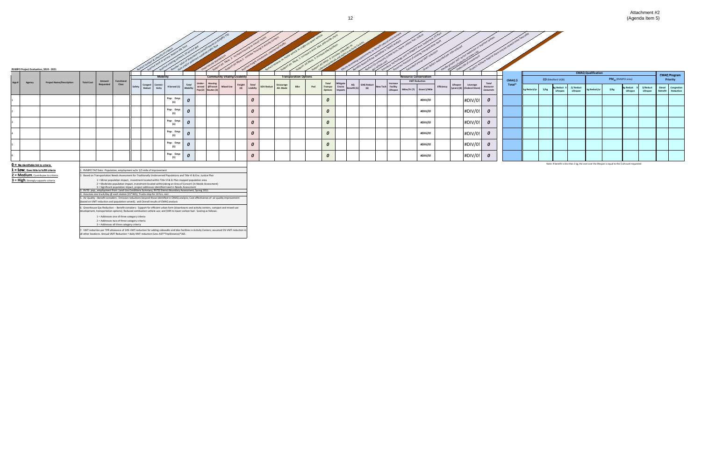

|      |        | RVMPO Project Evaluation, 2019 - 2021    |                   |                                                                        |        |                                               |                  |                   |        |                                       | $\sqrt{1}$                         |                    |                                      |                              |     |                           | nare              |                  |                                        |          | duce                         | $15$ plan  | vater ADT w/out exposer cu- |                                                                     |         |              |                   |                                    |          |                               |                                                                                                    |                       |                       |                                        |
|------|--------|------------------------------------------|-------------------|------------------------------------------------------------------------|--------|-----------------------------------------------|------------------|-------------------|--------|---------------------------------------|------------------------------------|--------------------|--------------------------------------|------------------------------|-----|---------------------------|-------------------|------------------|----------------------------------------|----------|------------------------------|------------|-----------------------------|---------------------------------------------------------------------|---------|--------------|-------------------|------------------------------------|----------|-------------------------------|----------------------------------------------------------------------------------------------------|-----------------------|-----------------------|----------------------------------------|
|      |        |                                          |                   |                                                                        |        | <b>Mobility</b>                               |                  |                   |        | <b>Community Vitality/Livability</b>  |                                    |                    |                                      | <b>Transporation Options</b> |     |                           |                   |                  |                                        |          | <b>Resource Conservation</b> |            |                             |                                                                     |         |              |                   |                                    |          | <b>CMAQ Qualification</b>     |                                                                                                    | <b>CMAQ Program</b>   |                       |                                        |
| App# | Agency | <b>Project Name/Description</b>          | <b>Total Cost</b> | Functional<br>Amount                                                   |        |                                               |                  |                   | Under- | Housing                               |                                    |                    |                                      |                              |     | <b>Total</b>              | Mitigate          |                  |                                        | Increase | <b>VMT Reduction</b>         |            |                             | Total                                                               | CMAQ \$ |              |                   | <b>CO</b> (Medford UGB)            |          | PM <sub>10</sub> (RVMPO area) |                                                                                                    |                       |                       | Priority                               |
|      |        |                                          |                   | Class<br>Requested                                                     | Safety | <b>Congest</b><br>Reduct<br>Connec-<br>tivity | # Served (1)     | Total<br>Mobility |        | served @Transit<br>Pop (2) Routes (3) | Freight<br><b>Mixed Use</b><br>(4) | Total<br>Liviblity | Encourage<br>SOV Reduct<br>Alt. Mode | Bike                         | Ped | Transpo<br><b>Options</b> | Enviro<br>Impacts | AQ<br>!} Benefit | <b>GHG Reduct</b><br>New Tech Facility | Lifespan | Miles/Yr (7) Grant \$/Mile   | Efficiency |                             | Lifespan Leverage Resource<br>(years) (8) (Federal Share) Conservin | Total*  | kg Reduct/yr | $\frac{1}{2}$ /kg | kg Reduct X \$/ Reduct<br>Lifespan | Lifespan | kg Reduct/yr                  | $\frac{1}{2}$ /kg                                                                                  | kg Reduct<br>Lifespan | \$/Reduct<br>Lifespan | <b>Diesel</b><br>Congestio<br>Retrofit |
|      |        |                                          |                   |                                                                        |        |                                               | Pop: Emp:<br>(1) |                   |        |                                       |                                    | $\boldsymbol{o}$   |                                      |                              |     | 0                         |                   |                  |                                        |          | #DIV/0!                      |            |                             | #DIV/0!<br>$\boldsymbol{o}$                                         |         |              |                   |                                    |          |                               |                                                                                                    |                       |                       |                                        |
|      |        |                                          |                   |                                                                        |        |                                               | Pop: Emp:<br>(1) |                   |        |                                       |                                    | $\boldsymbol{o}$   |                                      |                              |     | 0                         |                   |                  |                                        |          | #DIV/0!                      |            |                             | #DIV/0!<br>$\boldsymbol{o}$                                         |         |              |                   |                                    |          |                               |                                                                                                    |                       |                       |                                        |
|      |        |                                          |                   |                                                                        |        |                                               | Pop: Emp:<br>(1) |                   |        |                                       |                                    | $\pmb{o}$          |                                      |                              |     | 0                         |                   |                  |                                        |          | #DIV/0!                      |            |                             | #DIV/0!<br>0                                                        |         |              |                   |                                    |          |                               |                                                                                                    |                       |                       |                                        |
|      |        |                                          |                   |                                                                        |        |                                               | Pop: Emp:<br>(1) |                   |        |                                       |                                    | $\boldsymbol{o}$   |                                      |                              |     | 0                         |                   |                  |                                        |          | #DIV/0!                      |            |                             | #DIV/0!<br>$\boldsymbol{o}$                                         |         |              |                   |                                    |          |                               |                                                                                                    |                       |                       |                                        |
|      |        |                                          |                   |                                                                        |        |                                               | Pop: Emp:<br>(1) |                   |        |                                       |                                    | $\boldsymbol{o}$   |                                      |                              |     |                           |                   |                  |                                        |          | #DIV/0!                      |            |                             | #DIV/0!<br>$\boldsymbol{o}$                                         |         |              |                   |                                    |          |                               |                                                                                                    |                       |                       |                                        |
|      |        |                                          |                   |                                                                        |        |                                               | Pop: Emp:<br>(1) | 0                 |        |                                       |                                    | $\boldsymbol{o}$   |                                      |                              |     |                           |                   |                  |                                        |          | #DIV/0!                      |            |                             | #DIV/0!<br>$\boldsymbol{o}$                                         |         |              |                   |                                    |          |                               |                                                                                                    |                       |                       |                                        |
|      |        | $0 =$ No identifiable link to criteria   |                   |                                                                        |        |                                               |                  |                   |        |                                       |                                    |                    |                                      |                              |     |                           |                   |                  |                                        |          |                              |            |                             |                                                                     |         |              |                   |                                    |          |                               | Note: If benefit is less than 1 kg, the cost over the lifespan is equal to the \$ amount requested |                       |                       |                                        |
|      |        | 1 = LOW, Does little to fulfill criteria |                   | 1. RVMPO TAZ Data: Population, employment w/in 1/2-mile of improvement |        |                                               |                  |                   |        |                                       |                                    |                    |                                      |                              |     |                           |                   |                  |                                        |          |                              |            |                             |                                                                     |         |              |                   |                                    |          |                               |                                                                                                    |                       |                       |                                        |

**2 = Medium**, Contributes to criteria **2.** Based on Transportation Needs Assessment for Tradtionally Underserved Populations and Title VI & Env. Justice Plan<br>**3 = High**, Strongly supports criteria **1** = Minor population im 1 = Minor population impact, investment located within Title VI & EJ Plan mapped population area<br>2 = Moderate population impact, investment located within/along an Area of Concern (in Needs Assessment)<br>3 = Significant popu

4. Assumes one truck/day @ each station (21\*365); Trucks stop for 10 hrs. rest<br>5. Air Quality –Benefit considers: Emission reductions beyond those identified in CMAQ analysis; Cost effectivenes of air quality improvement

6. Greenhouse Gas Reduction -- Benefit considers: Support for efficient urban form (downtowns and activity centers, compact and mixed-use<br>development, transportation options); Reduced combustion vehicle use; and Shift to l

1 = Addresses one of three category criteria

2 = Addresses two of three category criteria

3 = Addresses all three category criteria

7. VMT reduction per TPR allowance of 10% VMT reduction for adding sidewalks and bike facilities in Activity Centers; assumed 5% VMT reduction in<br>all other locations. Annual VMT Reduction = daily VMT reduction (Less ADT\*Tr

Attachment #2 12 (Agenda Item 5)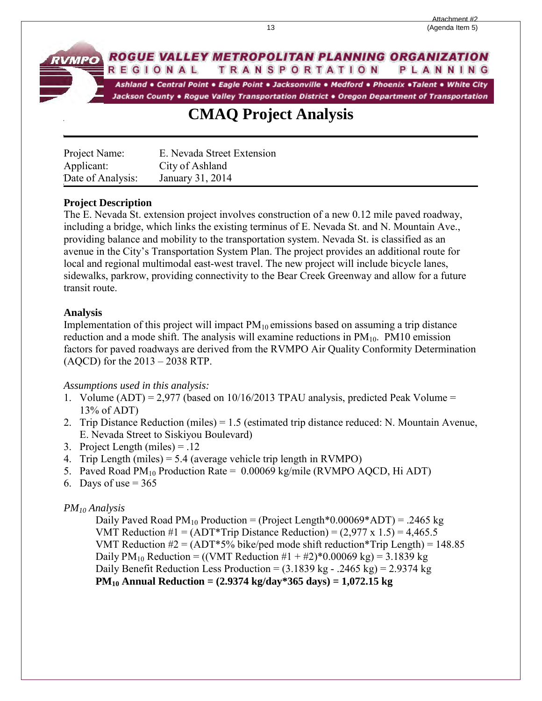#### ROGUE VALLEY METROPOLITAN PLANNING ORGANIZATION **TRANSPORTATION** PLANNING REGIONAL

Ashland . Central Point . Eagle Point . Jacksonville . Medford . Phoenix . Talent . White City Jackson County . Rogue Valley Transportation District . Oregon Department of Transportation

## **CMAQ Project Analysis**

| Project Name:     | E. Nevada Street Extension |
|-------------------|----------------------------|
| Applicant:        | City of Ashland            |
| Date of Analysis: | January 31, 2014           |

### **Project Description**

The E. Nevada St. extension project involves construction of a new 0.12 mile paved roadway, including a bridge, which links the existing terminus of E. Nevada St. and N. Mountain Ave., providing balance and mobility to the transportation system. Nevada St. is classified as an avenue in the City's Transportation System Plan. The project provides an additional route for local and regional multimodal east-west travel. The new project will include bicycle lanes, sidewalks, parkrow, providing connectivity to the Bear Creek Greenway and allow for a future transit route.

### **Analysis**

**RVMPO** 

Implementation of this project will impact  $PM_{10}$  emissions based on assuming a trip distance reduction and a mode shift. The analysis will examine reductions in  $PM_{10}$ .  $PM10$  emission factors for paved roadways are derived from the RVMPO Air Quality Conformity Determination (AQCD) for the 2013 – 2038 RTP.

### *Assumptions used in this analysis:*

- 1. Volume  $(ADT) = 2,977$  (based on 10/16/2013 TPAU analysis, predicted Peak Volume = 13% of ADT)
- 2. Trip Distance Reduction (miles) = 1.5 (estimated trip distance reduced: N. Mountain Avenue, E. Nevada Street to Siskiyou Boulevard)
- 3. Project Length (miles) = .12
- 4. Trip Length (miles) = 5.4 (average vehicle trip length in RVMPO)
- 5. Paved Road  $PM_{10}$  Production Rate = 0.00069 kg/mile (RVMPO AQCD, Hi ADT)
- 6. Days of use  $= 365$

### *PM10 Analysis*

Daily Paved Road  $PM_{10}$  Production = (Project Length\*0.00069\*ADT) = .2465 kg VMT Reduction  $\#1 = (ADT^*Trip Distance Reduction) = (2,977 \times 1.5) = 4,465.5$ VMT Reduction  $\#2 = (ADT^*5\% \text{ bike/ped mode shift reduction*Trip Length}) = 148.85$ Daily  $PM_{10}$  Reduction = ((VMT Reduction #1 + #2)\*0.00069 kg) = 3.1839 kg Daily Benefit Reduction Less Production =  $(3.1839 \text{ kg} - .2465 \text{ kg}) = 2.9374 \text{ kg}$ **PM10 Annual Reduction = (2.9374 kg/day\*365 days) = 1,072.15 kg**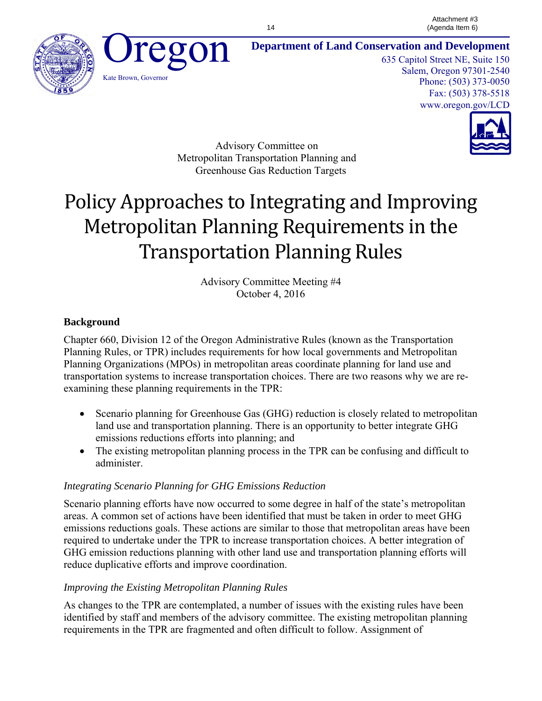



**Department of Land Conservation and Development**

635 Capitol Street NE, Suite 150 Salem, Oregon 97301-2540 Phone: (503) 373-0050 Fax: (503) 378-5518 www.oregon.gov/LCD



Advisory Committee on Metropolitan Transportation Planning and Greenhouse Gas Reduction Targets

# Policy Approaches to Integrating and Improving Metropolitan Planning Requirements in the Transportation Planning Rules

Advisory Committee Meeting #4 October 4, 2016

### **Background**

Chapter 660, Division 12 of the Oregon Administrative Rules (known as the Transportation Planning Rules, or TPR) includes requirements for how local governments and Metropolitan Planning Organizations (MPOs) in metropolitan areas coordinate planning for land use and transportation systems to increase transportation choices. There are two reasons why we are reexamining these planning requirements in the TPR:

- Scenario planning for Greenhouse Gas (GHG) reduction is closely related to metropolitan land use and transportation planning. There is an opportunity to better integrate GHG emissions reductions efforts into planning; and
- The existing metropolitan planning process in the TPR can be confusing and difficult to administer.

### *Integrating Scenario Planning for GHG Emissions Reduction*

Scenario planning efforts have now occurred to some degree in half of the state's metropolitan areas. A common set of actions have been identified that must be taken in order to meet GHG emissions reductions goals. These actions are similar to those that metropolitan areas have been required to undertake under the TPR to increase transportation choices. A better integration of GHG emission reductions planning with other land use and transportation planning efforts will reduce duplicative efforts and improve coordination.

### *Improving the Existing Metropolitan Planning Rules*

As changes to the TPR are contemplated, a number of issues with the existing rules have been identified by staff and members of the advisory committee. The existing metropolitan planning requirements in the TPR are fragmented and often difficult to follow. Assignment of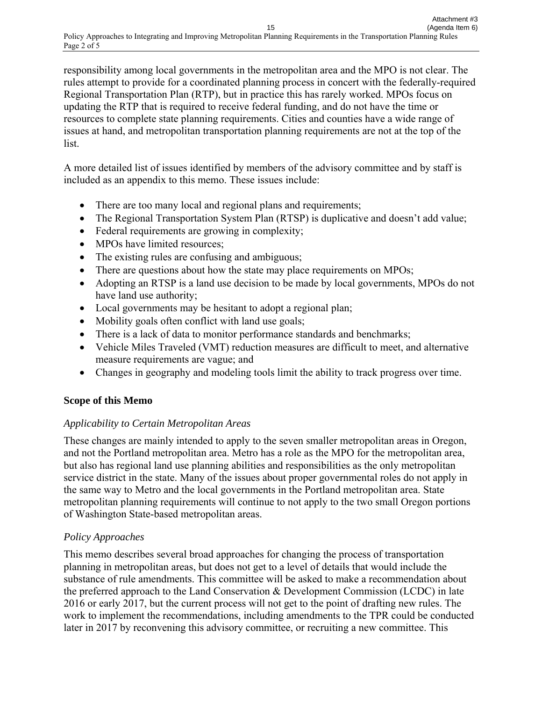responsibility among local governments in the metropolitan area and the MPO is not clear. The rules attempt to provide for a coordinated planning process in concert with the federally-required Regional Transportation Plan (RTP), but in practice this has rarely worked. MPOs focus on updating the RTP that is required to receive federal funding, and do not have the time or resources to complete state planning requirements. Cities and counties have a wide range of issues at hand, and metropolitan transportation planning requirements are not at the top of the list.

A more detailed list of issues identified by members of the advisory committee and by staff is included as an appendix to this memo. These issues include:

- There are too many local and regional plans and requirements;
- The Regional Transportation System Plan (RTSP) is duplicative and doesn't add value;
- Federal requirements are growing in complexity;
- MPOs have limited resources;
- The existing rules are confusing and ambiguous;
- There are questions about how the state may place requirements on MPOs;
- Adopting an RTSP is a land use decision to be made by local governments, MPOs do not have land use authority;
- Local governments may be hesitant to adopt a regional plan;
- Mobility goals often conflict with land use goals;
- There is a lack of data to monitor performance standards and benchmarks;
- Vehicle Miles Traveled (VMT) reduction measures are difficult to meet, and alternative measure requirements are vague; and
- Changes in geography and modeling tools limit the ability to track progress over time.

### **Scope of this Memo**

### *Applicability to Certain Metropolitan Areas*

These changes are mainly intended to apply to the seven smaller metropolitan areas in Oregon, and not the Portland metropolitan area. Metro has a role as the MPO for the metropolitan area, but also has regional land use planning abilities and responsibilities as the only metropolitan service district in the state. Many of the issues about proper governmental roles do not apply in the same way to Metro and the local governments in the Portland metropolitan area. State metropolitan planning requirements will continue to not apply to the two small Oregon portions of Washington State-based metropolitan areas.

### *Policy Approaches*

This memo describes several broad approaches for changing the process of transportation planning in metropolitan areas, but does not get to a level of details that would include the substance of rule amendments. This committee will be asked to make a recommendation about the preferred approach to the Land Conservation & Development Commission (LCDC) in late 2016 or early 2017, but the current process will not get to the point of drafting new rules. The work to implement the recommendations, including amendments to the TPR could be conducted later in 2017 by reconvening this advisory committee, or recruiting a new committee. This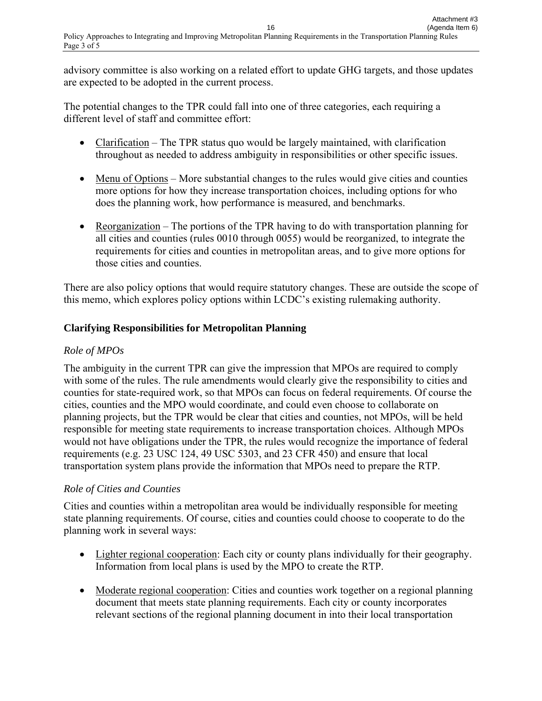advisory committee is also working on a related effort to update GHG targets, and those updates are expected to be adopted in the current process.

The potential changes to the TPR could fall into one of three categories, each requiring a different level of staff and committee effort:

- Clarification The TPR status quo would be largely maintained, with clarification throughout as needed to address ambiguity in responsibilities or other specific issues.
- $\bullet$  Menu of Options More substantial changes to the rules would give cities and counties more options for how they increase transportation choices, including options for who does the planning work, how performance is measured, and benchmarks.
- Reorganization The portions of the TPR having to do with transportation planning for all cities and counties (rules 0010 through 0055) would be reorganized, to integrate the requirements for cities and counties in metropolitan areas, and to give more options for those cities and counties.

There are also policy options that would require statutory changes. These are outside the scope of this memo, which explores policy options within LCDC's existing rulemaking authority.

### **Clarifying Responsibilities for Metropolitan Planning**

### *Role of MPOs*

The ambiguity in the current TPR can give the impression that MPOs are required to comply with some of the rules. The rule amendments would clearly give the responsibility to cities and counties for state-required work, so that MPOs can focus on federal requirements. Of course the cities, counties and the MPO would coordinate, and could even choose to collaborate on planning projects, but the TPR would be clear that cities and counties, not MPOs, will be held responsible for meeting state requirements to increase transportation choices. Although MPOs would not have obligations under the TPR, the rules would recognize the importance of federal requirements (e.g. 23 USC 124, 49 USC 5303, and 23 CFR 450) and ensure that local transportation system plans provide the information that MPOs need to prepare the RTP.

### *Role of Cities and Counties*

Cities and counties within a metropolitan area would be individually responsible for meeting state planning requirements. Of course, cities and counties could choose to cooperate to do the planning work in several ways:

- Lighter regional cooperation: Each city or county plans individually for their geography. Information from local plans is used by the MPO to create the RTP.
- Moderate regional cooperation: Cities and counties work together on a regional planning document that meets state planning requirements. Each city or county incorporates relevant sections of the regional planning document in into their local transportation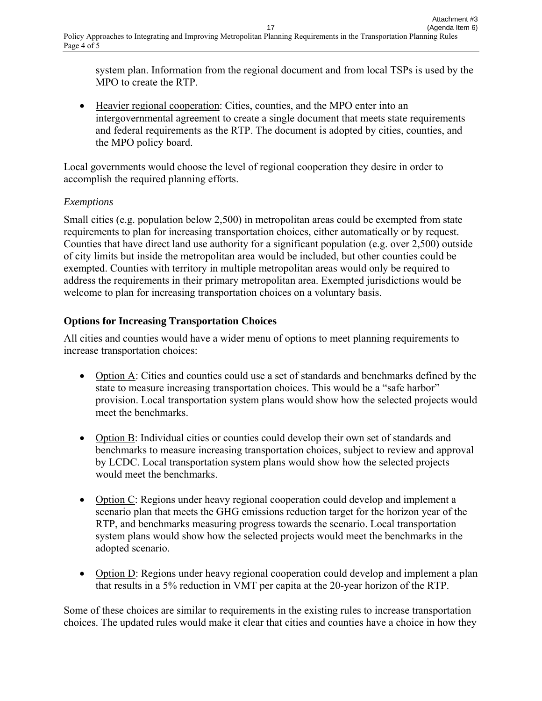system plan. Information from the regional document and from local TSPs is used by the MPO to create the RTP.

 Heavier regional cooperation: Cities, counties, and the MPO enter into an intergovernmental agreement to create a single document that meets state requirements and federal requirements as the RTP. The document is adopted by cities, counties, and the MPO policy board.

Local governments would choose the level of regional cooperation they desire in order to accomplish the required planning efforts.

### *Exemptions*

Small cities (e.g. population below 2,500) in metropolitan areas could be exempted from state requirements to plan for increasing transportation choices, either automatically or by request. Counties that have direct land use authority for a significant population (e.g. over 2,500) outside of city limits but inside the metropolitan area would be included, but other counties could be exempted. Counties with territory in multiple metropolitan areas would only be required to address the requirements in their primary metropolitan area. Exempted jurisdictions would be welcome to plan for increasing transportation choices on a voluntary basis.

### **Options for Increasing Transportation Choices**

All cities and counties would have a wider menu of options to meet planning requirements to increase transportation choices:

- Option A: Cities and counties could use a set of standards and benchmarks defined by the state to measure increasing transportation choices. This would be a "safe harbor" provision. Local transportation system plans would show how the selected projects would meet the benchmarks.
- Option B: Individual cities or counties could develop their own set of standards and benchmarks to measure increasing transportation choices, subject to review and approval by LCDC. Local transportation system plans would show how the selected projects would meet the benchmarks.
- Option C: Regions under heavy regional cooperation could develop and implement a scenario plan that meets the GHG emissions reduction target for the horizon year of the RTP, and benchmarks measuring progress towards the scenario. Local transportation system plans would show how the selected projects would meet the benchmarks in the adopted scenario.
- Option D: Regions under heavy regional cooperation could develop and implement a plan that results in a 5% reduction in VMT per capita at the 20-year horizon of the RTP.

Some of these choices are similar to requirements in the existing rules to increase transportation choices. The updated rules would make it clear that cities and counties have a choice in how they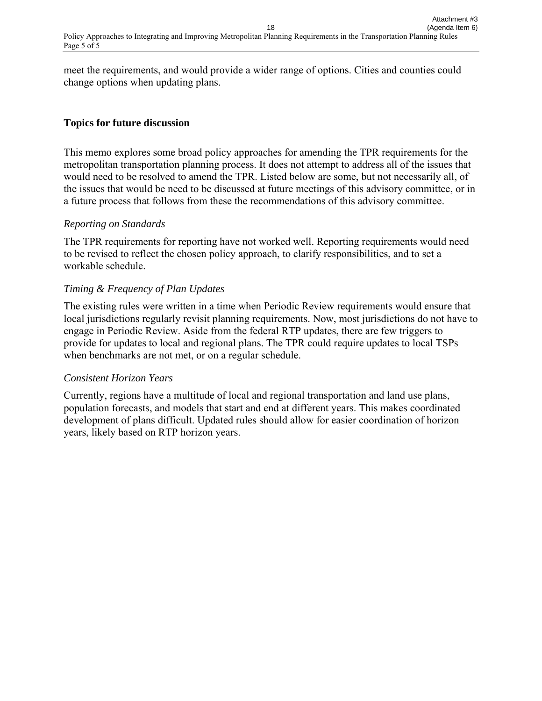meet the requirements, and would provide a wider range of options. Cities and counties could change options when updating plans.

### **Topics for future discussion**

This memo explores some broad policy approaches for amending the TPR requirements for the metropolitan transportation planning process. It does not attempt to address all of the issues that would need to be resolved to amend the TPR. Listed below are some, but not necessarily all, of the issues that would be need to be discussed at future meetings of this advisory committee, or in a future process that follows from these the recommendations of this advisory committee.

### *Reporting on Standards*

The TPR requirements for reporting have not worked well. Reporting requirements would need to be revised to reflect the chosen policy approach, to clarify responsibilities, and to set a workable schedule.

### *Timing & Frequency of Plan Updates*

The existing rules were written in a time when Periodic Review requirements would ensure that local jurisdictions regularly revisit planning requirements. Now, most jurisdictions do not have to engage in Periodic Review. Aside from the federal RTP updates, there are few triggers to provide for updates to local and regional plans. The TPR could require updates to local TSPs when benchmarks are not met, or on a regular schedule.

### *Consistent Horizon Years*

Currently, regions have a multitude of local and regional transportation and land use plans, population forecasts, and models that start and end at different years. This makes coordinated development of plans difficult. Updated rules should allow for easier coordination of horizon years, likely based on RTP horizon years.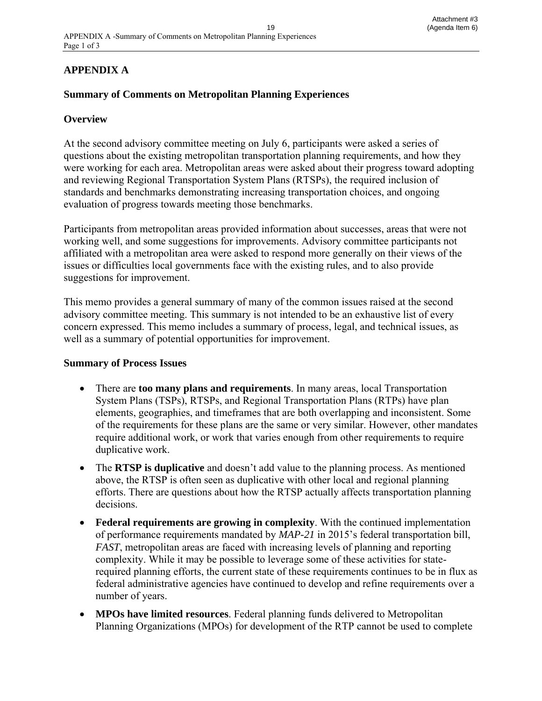### **APPENDIX A**

### **Summary of Comments on Metropolitan Planning Experiences**

### **Overview**

At the second advisory committee meeting on July 6, participants were asked a series of questions about the existing metropolitan transportation planning requirements, and how they were working for each area. Metropolitan areas were asked about their progress toward adopting and reviewing Regional Transportation System Plans (RTSPs), the required inclusion of standards and benchmarks demonstrating increasing transportation choices, and ongoing evaluation of progress towards meeting those benchmarks.

Participants from metropolitan areas provided information about successes, areas that were not working well, and some suggestions for improvements. Advisory committee participants not affiliated with a metropolitan area were asked to respond more generally on their views of the issues or difficulties local governments face with the existing rules, and to also provide suggestions for improvement.

This memo provides a general summary of many of the common issues raised at the second advisory committee meeting. This summary is not intended to be an exhaustive list of every concern expressed. This memo includes a summary of process, legal, and technical issues, as well as a summary of potential opportunities for improvement.

### **Summary of Process Issues**

- There are **too many plans and requirements**. In many areas, local Transportation System Plans (TSPs), RTSPs, and Regional Transportation Plans (RTPs) have plan elements, geographies, and timeframes that are both overlapping and inconsistent. Some of the requirements for these plans are the same or very similar. However, other mandates require additional work, or work that varies enough from other requirements to require duplicative work.
- The **RTSP is duplicative** and doesn't add value to the planning process. As mentioned above, the RTSP is often seen as duplicative with other local and regional planning efforts. There are questions about how the RTSP actually affects transportation planning decisions.
- **Federal requirements are growing in complexity**. With the continued implementation of performance requirements mandated by *MAP-21* in 2015's federal transportation bill, *FAST*, metropolitan areas are faced with increasing levels of planning and reporting complexity. While it may be possible to leverage some of these activities for staterequired planning efforts, the current state of these requirements continues to be in flux as federal administrative agencies have continued to develop and refine requirements over a number of years.
- **MPOs have limited resources**. Federal planning funds delivered to Metropolitan Planning Organizations (MPOs) for development of the RTP cannot be used to complete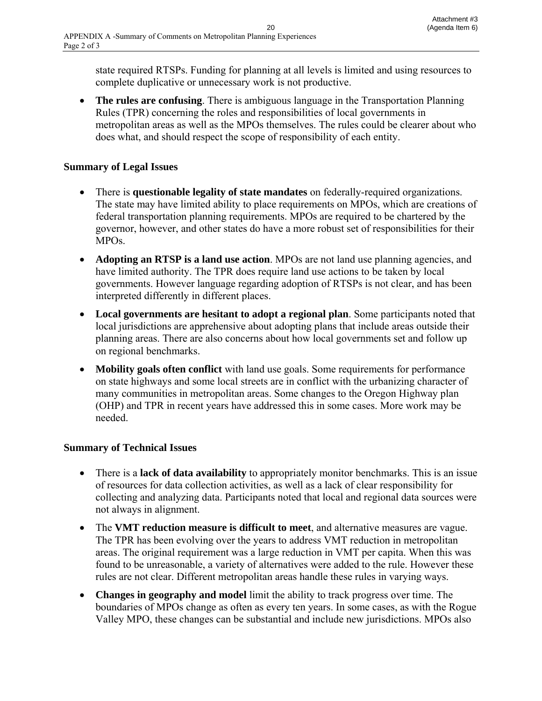state required RTSPs. Funding for planning at all levels is limited and using resources to complete duplicative or unnecessary work is not productive.

 **The rules are confusing**. There is ambiguous language in the Transportation Planning Rules (TPR) concerning the roles and responsibilities of local governments in metropolitan areas as well as the MPOs themselves. The rules could be clearer about who does what, and should respect the scope of responsibility of each entity.

### **Summary of Legal Issues**

- There is **questionable legality of state mandates** on federally-required organizations. The state may have limited ability to place requirements on MPOs, which are creations of federal transportation planning requirements. MPOs are required to be chartered by the governor, however, and other states do have a more robust set of responsibilities for their MPOs.
- **Adopting an RTSP is a land use action**. MPOs are not land use planning agencies, and have limited authority. The TPR does require land use actions to be taken by local governments. However language regarding adoption of RTSPs is not clear, and has been interpreted differently in different places.
- **Local governments are hesitant to adopt a regional plan**. Some participants noted that local jurisdictions are apprehensive about adopting plans that include areas outside their planning areas. There are also concerns about how local governments set and follow up on regional benchmarks.
- **Mobility goals often conflict** with land use goals. Some requirements for performance on state highways and some local streets are in conflict with the urbanizing character of many communities in metropolitan areas. Some changes to the Oregon Highway plan (OHP) and TPR in recent years have addressed this in some cases. More work may be needed.

### **Summary of Technical Issues**

- There is a **lack of data availability** to appropriately monitor benchmarks. This is an issue of resources for data collection activities, as well as a lack of clear responsibility for collecting and analyzing data. Participants noted that local and regional data sources were not always in alignment.
- The **VMT reduction measure is difficult to meet**, and alternative measures are vague. The TPR has been evolving over the years to address VMT reduction in metropolitan areas. The original requirement was a large reduction in VMT per capita. When this was found to be unreasonable, a variety of alternatives were added to the rule. However these rules are not clear. Different metropolitan areas handle these rules in varying ways.
- **Changes in geography and model** limit the ability to track progress over time. The boundaries of MPOs change as often as every ten years. In some cases, as with the Rogue Valley MPO, these changes can be substantial and include new jurisdictions. MPOs also